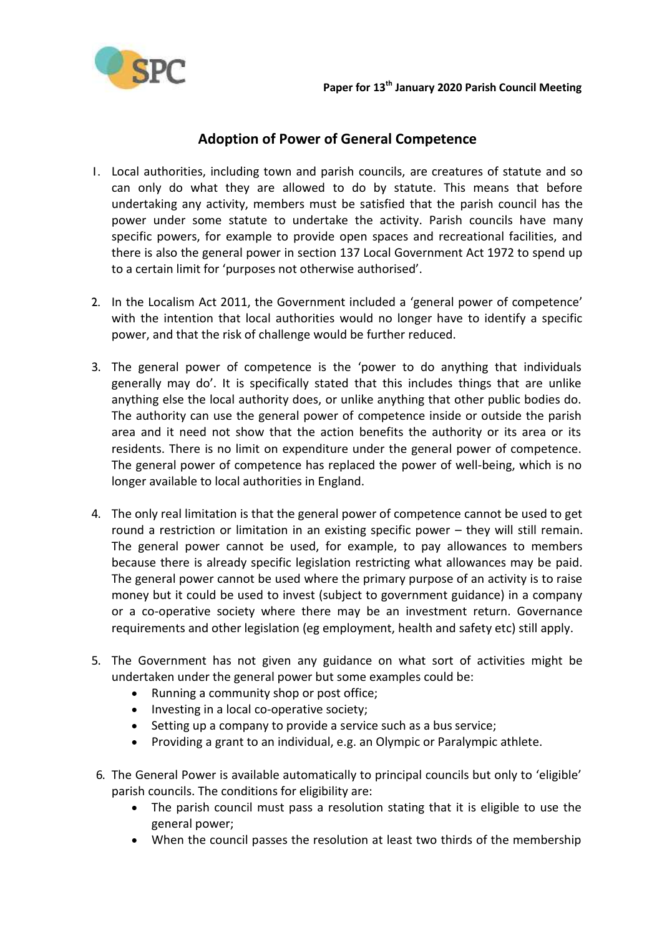

## **Adoption of Power of General Competence**

- 1. Local authorities, including town and parish councils, are creatures of statute and so can only do what they are allowed to do by statute. This means that before undertaking any activity, members must be satisfied that the parish council has the power under some statute to undertake the activity. Parish councils have many specific powers, for example to provide open spaces and recreational facilities, and there is also the general power in section 137 Local Government Act 1972 to spend up to a certain limit for 'purposes not otherwise authorised'.
- 2. In the Localism Act 2011, the Government included a 'general power of competence' with the intention that local authorities would no longer have to identify a specific power, and that the risk of challenge would be further reduced.
- 3. The general power of competence is the 'power to do anything that individuals generally may do'. It is specifically stated that this includes things that are unlike anything else the local authority does, or unlike anything that other public bodies do. The authority can use the general power of competence inside or outside the parish area and it need not show that the action benefits the authority or its area or its residents. There is no limit on expenditure under the general power of competence. The general power of competence has replaced the power of well-being, which is no longer available to local authorities in England.
- 4. The only real limitation is that the general power of competence cannot be used to get round a restriction or limitation in an existing specific power – they will still remain. The general power cannot be used, for example, to pay allowances to members because there is already specific legislation restricting what allowances may be paid. The general power cannot be used where the primary purpose of an activity is to raise money but it could be used to invest (subject to government guidance) in a company or a co-operative society where there may be an investment return. Governance requirements and other legislation (eg employment, health and safety etc) still apply.
- 5. The Government has not given any guidance on what sort of activities might be undertaken under the general power but some examples could be:
	- Running a community shop or post office;
	- Investing in a local co-operative society;
	- Setting up a company to provide a service such as a bus service;
	- Providing a grant to an individual, e.g. an Olympic or Paralympic athlete.
- 6. The General Power is available automatically to principal councils but only to 'eligible' parish councils. The conditions for eligibility are:
	- The parish council must pass a resolution stating that it is eligible to use the general power;
	- When the council passes the resolution at least two thirds of the membership